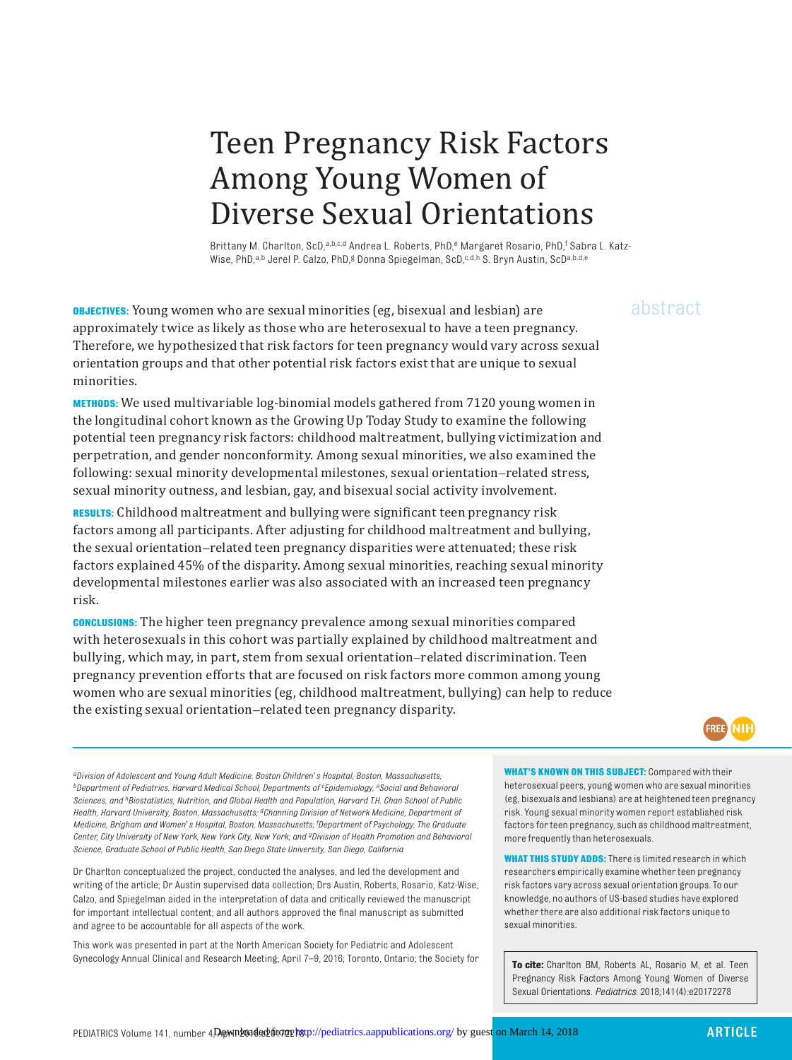# Teen Pregnancy Risk Factors Among Young Women of Diverse Sexual Orientations

Brittany M. Charlton, ScD, a,b,c,d Andrea L. Roberts, PhD,<sup>e</sup> Margaret Rosario, PhD,f Sabra L. Katz-Wise, PhD,<sup>a,b</sup> Jerel P. Calzo, PhD,<sup>g</sup> Donna Spiegelman, ScD,<sup>c,d,h</sup> S. Bryn Austin, ScD<sup>a,b,d,e</sup>

**OBJECTIVES:** Young women who are sexual minorities (eg, bisexual and lesbian) are approximately twice as likely as those who are heterosexual to have a teen pregnancy. Therefore, we hypothesized that risk factors for teen pregnancy would vary across sexual orientation groups and that other potential risk factors exist that are unique to sexual minorities.

**METHODS:** We used multivariable log-binomial models gathered from 7120 young women in the longitudinal cohort known as the Growing Up Today Study to examine the following potential teen pregnancy risk factors: childhood maltreatment, bullying victimization and perpetration, and gender nonconformity. Among sexual minorities, we also examined the following: sexual minority developmental milestones, sexual orientation–related stress, sexual minority outness, and lesbian, gay, and bisexual social activity involvement.

**RESULTS:** Childhood maltreatment and bullying were significant teen pregnancy risk factors among all participants. After adjusting for childhood maltreatment and bullying, the sexual orientation–related teen pregnancy disparities were attenuated; these risk factors explained 45% of the disparity. Among sexual minorities, reaching sexual minority developmental milestones earlier was also associated with an increased teen pregnancy risk.

**CONCLUSIONS:** The higher teen pregnancy prevalence among sexual minorities compared with heterosexuals in this cohort was partially explained by childhood maltreatment and bullying, which may, in part, stem from sexual orientation–related discrimination. Teen pregnancy prevention efforts that are focused on risk factors more common among young women who are sexual minorities (eg, childhood maltreatment, bullying) can help to reduce the existing sexual orientation–related teen pregnancy disparity.

abstract

NIH **FREE** 

ªDivision of Adolescent and Young Adult Medicine, Boston Children's Hospital, Boston, Massachusetts;<br><sup>b</sup>Department of Pediatrics, Harvard Medical School, Departments of ºEpidemiology, ºSocial and Behavioral *Sciences, and hBiostatistics, Nutrition, and Global Health and Population, Harvard T.H. Chan School of Public Health, Harvard University, Boston, Massachusetts; dChanning Division of Network Medicine, Department of Medicine, Brigham and Women*'*s Hospital, Boston, Massachusetts; f Department of Psychology, The Graduate Center, City University of New York, New York City, New York; and gDivision of Health Promotion and Behavioral Science, Graduate School of Public Health, San Diego State University, San Diego, California*

Dr Charlton conceptualized the project, conducted the analyses, and led the development and writing of the article; Dr Austin supervised data collection; Drs Austin, Roberts, Rosario, Katz-Wise, Calzo, and Spiegelman aided in the interpretation of data and critically reviewed the manuscript for important intellectual content; and all authors approved the final manuscript as submitted and agree to be accountable for all aspects of the work.

This work was presented in part at the North American Society for Pediatric and Adolescent Gynecology Annual Clinical and Research Meeting; April 7–9, 2016; Toronto, Ontario; the Society for **WHAT'S KNOWN ON THIS SUBJECT:** Compared with their heterosexual peers, young women who are sexual minorities (eg, bisexuals and lesbians) are at heightened teen pregnancy risk. Young sexual minority women report established risk factors for teen pregnancy, such as childhood maltreatment, more frequently than heterosexuals.

**WHAT THIS STUDY ADDS:** There is limited research in which researchers empirically examine whether teen pregnancy risk factors vary across sexual orientation groups. To our knowledge, no authors of US-based studies have explored whether there are also additional risk factors unique to sexual minorities.

**To cite:** Charlton BM, Roberts AL, Rosario M, et al. Teen Pregnancy Risk Factors Among Young Women of Diverse Sexual Orientations. *Pediatrics.* 2018;141(4):e20172278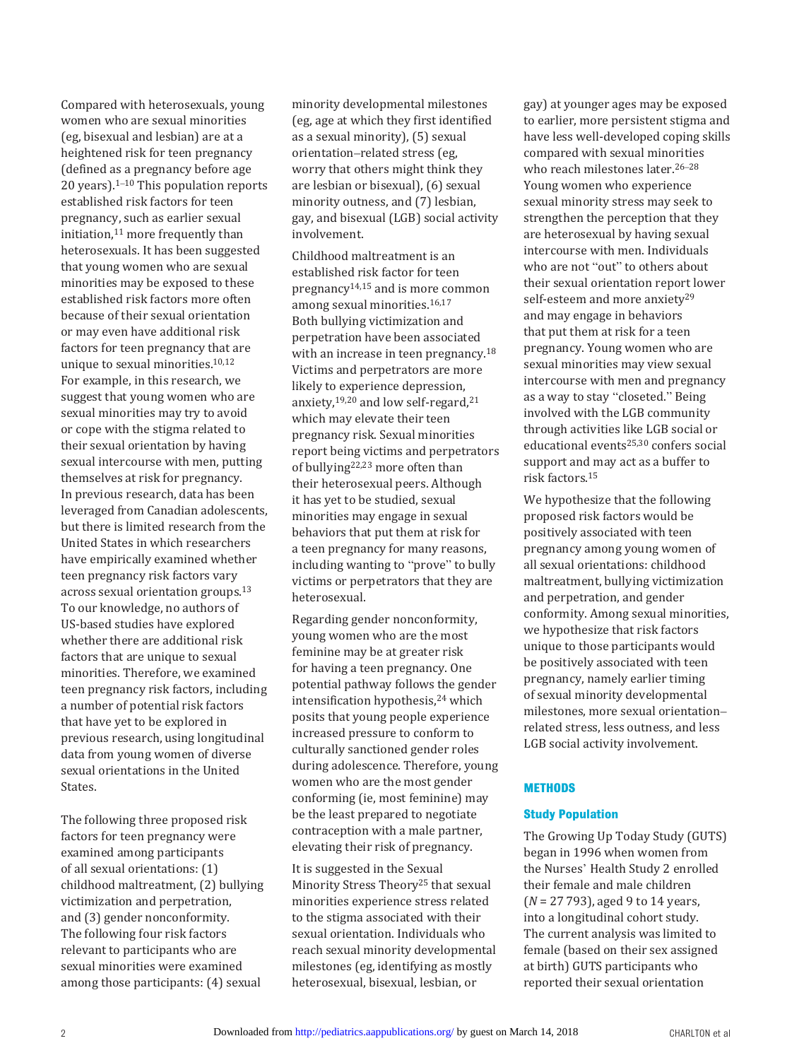Compared with heterosexuals, young women who are sexual minorities (eg, bisexual and lesbian) are at a heightened risk for teen pregnancy (defined as a pregnancy before age 20 years). [1](#page-8-0)–[10](#page-8-1) This population reports established risk factors for teen pregnancy, such as earlier sexual initiation,<sup>11</sup> more frequently than heterosexuals. It has been suggested that young women who are sexual minorities may be exposed to these established risk factors more often because of their sexual orientation or may even have additional risk factors for teen pregnancy that are unique to sexual minorities. [10](#page-8-1)[,12](#page-8-3) For example, in this research, we suggest that young women who are sexual minorities may try to avoid or cope with the stigma related to their sexual orientation by having sexual intercourse with men, putting themselves at risk for pregnancy. In previous research, data has been leveraged from Canadian adolescents, but there is limited research from the United States in which researchers have empirically examined whether teen pregnancy risk factors vary across sexual orientation groups. [13](#page-8-4) To our knowledge, no authors of US-based studies have explored whether there are additional risk factors that are unique to sexual minorities. Therefore, we examined teen pregnancy risk factors, including a number of potential risk factors that have yet to be explored in previous research, using longitudinal data from young women of diverse sexual orientations in the United States.

The following three proposed risk factors for teen pregnancy were examined among participants of all sexual orientations: (1) childhood maltreatment, (2) bullying victimization and perpetration, and (3) gender nonconformity. The following four risk factors relevant to participants who are sexual minorities were examined among those participants: (4) sexual

minority developmental milestones (eg, age at which they first identified as a sexual minority), (5) sexual orientation–related stress (eg, worry that others might think they are lesbian or bisexual), (6) sexual minority outness, and (7) lesbian, gay, and bisexual (LGB) social activity involvement.

Childhood maltreatment is an established risk factor for teen pregnancy[14](#page-8-5)[,15](#page-8-6) and is more common among sexual minorities. [16](#page-8-7)[,17](#page-8-8) Both bullying victimization and perpetration have been associated with an increase in teen pregnancy.<sup>[18](#page-8-9)</sup> Victims and perpetrators are more likely to experience depression, anxiety,[19](#page-8-10)[,20](#page-8-11) and low self-regard,[21](#page-8-12) which may elevate their teen pregnancy risk. Sexual minorities report being victims and perpetrators of bullying[22](#page-8-13),[23](#page-8-14) more often than their heterosexual peers. Although it has yet to be studied, sexual minorities may engage in sexual behaviors that put them at risk for a teen pregnancy for many reasons, including wanting to "prove" to bully victims or perpetrators that they are heterosexual.

Regarding gender nonconformity, young women who are the most feminine may be at greater risk for having a teen pregnancy. One potential pathway follows the gender intensification hypothesis,<sup>[24](#page-8-15)</sup> which posits that young people experience increased pressure to conform to culturally sanctioned gender roles during adolescence. Therefore, young women who are the most gender conforming (ie, most feminine) may be the least prepared to negotiate contraception with a male partner, elevating their risk of pregnancy.

It is suggested in the Sexual Minorit[y](#page-8-16) Stress Theory<sup>25</sup> that sexual minorities experience stress related to the stigma associated with their sexual orientation. Individuals who reach sexual minority developmental milestones (eg, identifying as mostly heterosexual, bisexual, lesbian, or

gay) at younger ages may be exposed to earlier, more persistent stigma and have less well-developed coping skills compared with sexual minorities who reach milestones later. [26](#page-8-17)–[28](#page-8-18) Young women who experience sexual minority stress may seek to strengthen the perception that they are heterosexual by having sexual intercourse with men. Individuals who are not "out" to others about their sexual orientation report lower self-esteem and more anxiety<sup>29</sup> and may engage in behaviors that put them at risk for a teen pregnancy. Young women who are sexual minorities may view sexual intercourse with men and pregnancy as a way to stay "closeted." Being involved with the LGB community through activities like LGB social or educational events[25,](#page-8-16)[30](#page-9-0) confers social support and may act as a buffer to risk factors. [15](#page-8-6)

We hypothesize that the following proposed risk factors would be positively associated with teen pregnancy among young women of all sexual orientations: childhood maltreatment, bullying victimization and perpetration, and gender conformity. Among sexual minorities, we hypothesize that risk factors unique to those participants would be positively associated with teen pregnancy, namely earlier timing of sexual minority developmental milestones, more sexual orientation– related stress, less outness, and less LGB social activity involvement.

#### **METHODS**

#### **Study Population**

The Growing Up Today Study (GUTS) began in 1996 when women from the Nurses' Health Study 2 enrolled their female and male children (*N* = 27793), aged 9 to 14 years, into a longitudinal cohort study. The current analysis was limited to female (based on their sex assigned at birth) GUTS participants who reported their sexual orientation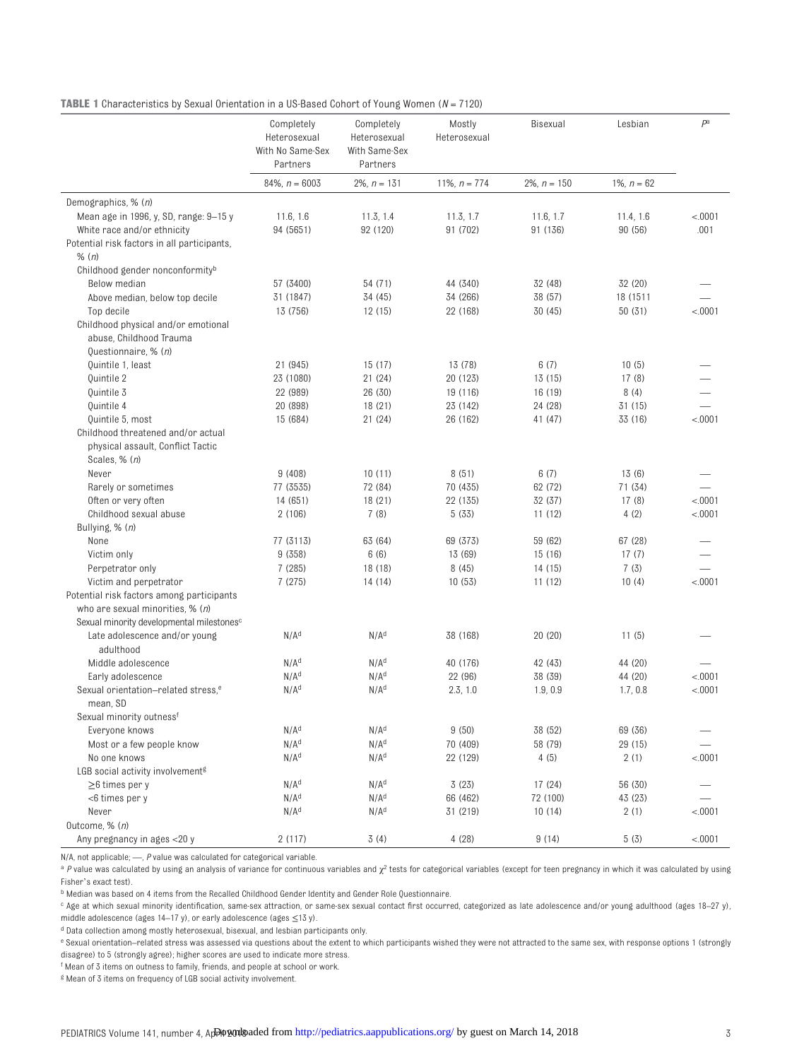#### **TABLE 1** Characteristics by Sexual Orientation in a US-Based Cohort of Young Women (*N* = 7120)

|                                                               | Completely<br>Heterosexual<br>With No Same-Sex<br>Partners | Completely<br>Heterosexual<br>With Same-Sex<br>Partners | Mostly<br>Heterosexual | Bisexual      | Lesbian       | $P^a$              |
|---------------------------------------------------------------|------------------------------------------------------------|---------------------------------------------------------|------------------------|---------------|---------------|--------------------|
|                                                               | 84%, $n = 6003$                                            | 2%, $n = 131$                                           | 11%, $n = 774$         | 2%, $n = 150$ | 1%, $n = 62$  |                    |
|                                                               |                                                            |                                                         |                        |               |               |                    |
| Demographics, % (n)<br>Mean age in 1996, y, SD, range: 9-15 y | 11.6, 1.6                                                  | 11.3, 1.4                                               | 11.3, 1.7              | 11.6, 1.7     | 11.4, 1.6     | < .0001            |
| White race and/or ethnicity                                   | 94 (5651)                                                  | 92 (120)                                                | 91 (702)               | 91 (136)      | 90 (56)       | .001               |
| Potential risk factors in all participants,                   |                                                            |                                                         |                        |               |               |                    |
| % (n)                                                         |                                                            |                                                         |                        |               |               |                    |
| Childhood gender nonconformity <sup>b</sup>                   |                                                            |                                                         |                        |               |               |                    |
| <b>Below median</b>                                           | 57 (3400)                                                  | 54 (71)                                                 | 44 (340)               | 32 (48)       | 32 (20)       |                    |
| Above median, below top decile                                | 31 (1847)                                                  | 34 (45)                                                 | 34 (266)               | 38 (57)       | 18 (1511      |                    |
| Top decile                                                    | 13 (756)                                                   | 12(15)                                                  | 22 (168)               | 30 (45)       | 50(31)        | < .0001            |
| Childhood physical and/or emotional                           |                                                            |                                                         |                        |               |               |                    |
| abuse, Childhood Trauma                                       |                                                            |                                                         |                        |               |               |                    |
| Questionnaire, % (n)                                          |                                                            |                                                         |                        |               |               |                    |
| Quintile 1, least                                             | 21 (945)                                                   | 15(17)                                                  | 13 (78)                | 6(7)          | 10(5)         |                    |
| Quintile 2                                                    | 23 (1080)                                                  | 21(24)                                                  | 20 (123)               | 13(15)        | 17(8)         |                    |
| Quintile 3                                                    | 22 (989)                                                   | 26 (30)                                                 | 19 (116)               | 16 (19)       | 8(4)          |                    |
| Quintile 4                                                    | 20 (898)                                                   | 18(21)                                                  | 23 (142)               | 24 (28)       | 31 (15)       |                    |
| Quintile 5, most                                              | 15 (684)                                                   | 21(24)                                                  | 26 (162)               | 41 (47)       | 33 (16)       | < .0001            |
| Childhood threatened and/or actual                            |                                                            |                                                         |                        |               |               |                    |
| physical assault, Conflict Tactic<br>Scales, $% (n)$          |                                                            |                                                         |                        |               |               |                    |
| Never                                                         | 9(408)                                                     | 10(11)                                                  | 8(51)                  | 6(7)          | 13(6)         |                    |
| Rarely or sometimes                                           | 77 (3535)                                                  | 72 (84)                                                 | 70 (435)               | 62 (72)       | 71 (34)       |                    |
|                                                               |                                                            |                                                         |                        |               |               |                    |
| Often or very often                                           | 14 (651)                                                   | 18(21)<br>7(8)                                          | 22 (135)               | 32 (37)       | 17(8)<br>4(2) | < .0001<br>< .0001 |
| Childhood sexual abuse                                        | 2(106)                                                     |                                                         | 5(33)                  | 11(12)        |               |                    |
| Bullying, % (n)                                               |                                                            |                                                         |                        |               |               |                    |
| None                                                          | 77 (3113)                                                  | 63 (64)                                                 | 69 (373)               | 59 (62)       | 67 (28)       |                    |
| Victim only                                                   | 9(358)                                                     | 6(6)                                                    | 13 (69)                | 15(16)        | 17(7)         |                    |
| Perpetrator only                                              | 7(285)                                                     | 18 (18)                                                 | 8(45)                  | 14 (15)       | 7(3)          |                    |
| Victim and perpetrator                                        | 7(275)                                                     | 14 (14)                                                 | 10(53)                 | 11(12)        | 10(4)         | < .0001            |
| Potential risk factors among participants                     |                                                            |                                                         |                        |               |               |                    |
| who are sexual minorities, $% (n)$                            |                                                            |                                                         |                        |               |               |                    |
| Sexual minority developmental milestones <sup>c</sup>         |                                                            |                                                         |                        |               |               |                    |
| Late adolescence and/or young<br>adulthood                    | N/A <sup>d</sup>                                           | N/A <sup>d</sup>                                        | 38 (168)               | 20 (20)       | 11(5)         |                    |
|                                                               |                                                            |                                                         |                        |               |               |                    |
| Middle adolescence                                            | N/A <sup>d</sup>                                           | N/A <sup>d</sup>                                        | 40 (176)               | 42 (43)       | 44 (20)       |                    |
| Early adolescence                                             | N/A <sup>d</sup>                                           | N/A <sup>d</sup>                                        | 22 (96)                | 38 (39)       | 44 (20)       | < .0001            |
| Sexual orientation-related stress, <sup>e</sup>               | N/A <sup>d</sup>                                           | N/A <sup>d</sup>                                        | 2.3, 1.0               | 1.9, 0.9      | 1.7, 0.8      | < .0001            |
| mean, SD                                                      |                                                            |                                                         |                        |               |               |                    |
| Sexual minority outness <sup>f</sup>                          |                                                            | N/A <sup>d</sup>                                        |                        |               |               |                    |
| Everyone knows                                                | N/A <sup>d</sup>                                           |                                                         | 9(50)                  | 38 (52)       | 69 (36)       |                    |
| Most or a few people know                                     | N/A <sup>d</sup>                                           | N/A <sup>d</sup>                                        | 70 (409)               | 58 (79)       | 29 (15)       |                    |
| No one knows                                                  | N/A <sup>d</sup>                                           | N/A <sup>d</sup>                                        | 22 (129)               | 4(5)          | 2(1)          | < .0001            |
| LGB social activity involvement <sup>g</sup>                  |                                                            |                                                         |                        |               |               |                    |
| $\geq$ 6 times per y                                          | N/A <sup>d</sup>                                           | N/A <sup>d</sup>                                        | 3(23)                  | 17(24)        | 56 (30)       |                    |
| <6 times per y                                                | N/A <sup>d</sup>                                           | N/A <sup>d</sup>                                        | 66 (462)               | 72 (100)      | 43 (23)       |                    |
| Never                                                         | N/A <sup>d</sup>                                           | N/A <sup>d</sup>                                        | 31 (219)               | 10(14)        | 2(1)          | < .0001            |
| Outcome, % (n)                                                |                                                            |                                                         |                        |               |               |                    |
| Any pregnancy in ages <20 y                                   | 2(117)                                                     | 3(4)                                                    | 4(28)                  | 9(14)         | 5(3)          | < .0001            |

N/A, not applicable; —, *P* value was calculated for categorical variable.

a *P* value was calculated by using an analysis of variance for continuous variables and  $\chi^2$  tests for categorical variables (except for teen pregnancy in which it was calculated by using Fisher's exact test).

b Median was based on 4 items from the Recalled Childhood Gender Identity and Gender Role Questionnaire.

c Age at which sexual minority identification, same-sex attraction, or same-sex sexual contact first occurred, categorized as late adolescence and/or young adulthood (ages 18–27 y), middle adolescence (ages  $14-17$  y), or early adolescence (ages  $\leq$ 13 y).

d Data collection among mostly heterosexual, bisexual, and lesbian participants only.

e Sexual orientation–related stress was assessed via questions about the extent to which participants wished they were not attracted to the same sex, with response options 1 (strongly disagree) to 5 (strongly agree); higher scores are used to indicate more stress.

f Mean of 3 items on outness to family, friends, and people at school or work.

<sup>g</sup> Mean of 3 items on frequency of LGB social activity involvement.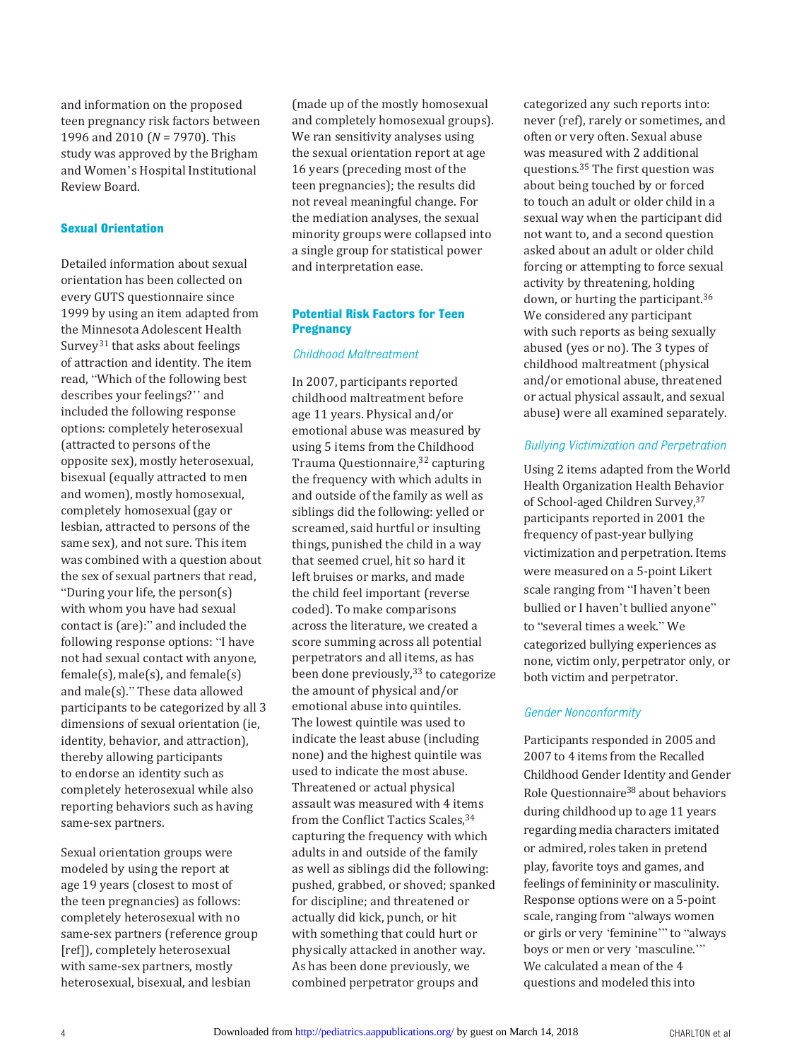and information on the proposed teen pregnancy risk factors between 1996 and 2010 (*N* = 7970). This study was approved by the Brigham and Women's Hospital Institutional Review Board.

#### **Sexual Orientation**

Detailed information about sexual orientation has been collected on every GUTS questionnaire since 1999 by using an item adapted from the Minnesota Adolescent Health Surve[y](#page-9-1)[31](#page-9-1) that asks about feelings of attraction and identity. The item read, "Which of the following best describes your feelings?'' and included the following response options: completely heterosexual (attracted to persons of the opposite sex), mostly heterosexual, bisexual (equally attracted to men and women), mostly homosexual, completely homosexual (gay or lesbian, attracted to persons of the same sex), and not sure. This item was combined with a question about the sex of sexual partners that read, "During your life, the person(s) with whom you have had sexual contact is (are):" and included the following response options: "I have not had sexual contact with anyone,  $female(s)$ , male(s), and  $female(s)$ and male(s)." These data allowed participants to be categorized by all 3 dimensions of sexual orientation (ie, identity, behavior, and attraction), thereby allowing participants to endorse an identity such as completely heterosexual while also reporting behaviors such as having same-sex partners.

Sexual orientation groups were modeled by using the report at age 19 years (closest to most of the teen pregnancies) as follows: completely heterosexual with no same-sex partners (reference group [ref]), completely heterosexual with same-sex partners, mostly heterosexual, bisexual, and lesbian

(made up of the mostly homosexual and completely homosexual groups). We ran sensitivity analyses using the sexual orientation report at age 16 years (preceding most of the teen pregnancies); the results did not reveal meaningful change. For the mediation analyses, the sexual minority groups were collapsed into a single group for statistical power and interpretation ease.

#### **Potential Risk Factors for Teen Pregnancy**

#### *Childhood Maltreatment*

In 2007, participants reported childhood maltreatment before age 11 years. Physical and/or emotional abuse was measured by using 5 items from the Childhood Trauma Questionnaire,<sup>32</sup> capturing the frequency with which adults in and outside of the family as well as siblings did the following: yelled or screamed, said hurtful or insulting things, punished the child in a way that seemed cruel, hit so hard it left bruises or marks, and made the child feel important (reverse coded). To make comparisons across the literature, we created a score summing across all potential perpetrators and all items, as has been done previously,<sup>33</sup> to categorize the amount of physical and/or emotional abuse into quintiles. The lowest quintile was used to indicate the least abuse (including none) and the highest quintile was used to indicate the most abuse. Threatened or actual physical assault was measured with 4 items from the Conflict Tactics Scales.<sup>[34](#page-9-4)</sup> capturing the frequency with which adults in and outside of the family as well as siblings did the following: pushed, grabbed, or shoved; spanked for discipline; and threatened or actually did kick, punch, or hit with something that could hurt or physically attacked in another way. As has been done previously, we combined perpetrator groups and

categorized any such reports into: never (ref), rarely or sometimes, and often or very often. Sexual abuse was measured with 2 additional questions. [35](#page-9-5) The first question was about being touched by or forced to touch an adult or older child in a sexual way when the participant did not want to, and a second question asked about an adult or older child forcing or attempting to force sexual activity by threatening, holding down, or hurting the participant.[36](#page-9-6) We considered any participant with such reports as being sexually abused (yes or no). The 3 types of childhood maltreatment (physical and/or emotional abuse, threatened or actual physical assault, and sexual abuse) were all examined separately.

#### *Bullying Victimization and Perpetration*

Using 2 items adapted from the World Health Organization Health Behavior of School-aged Children Survey[,37](#page-9-7) participants reported in 2001 the frequency of past-year bullying victimization and perpetration. Items were measured on a 5-point Likert scale ranging from "I haven't been bullied or I haven't bullied anyone" to "several times a week." We categorized bullying experiences as none, victim only, perpetrator only, or both victim and perpetrator.

#### *Gender Nonconformity*

Participants responded in 2005 and 2007 to 4 items from the Recalled Childhood Gender Identity and Gender Rol[e](#page-9-8) Questionnaire<sup>[38](#page-9-8)</sup> about behaviors during childhood up to age 11 years regarding media characters imitated or admired, roles taken in pretend play, favorite toys and games, and feelings of femininity or masculinity. Response options were on a 5-point scale, ranging from "always women or girls or very 'feminine'" to "always boys or men or very 'masculine.'" We calculated a mean of the 4 questions and modeled this into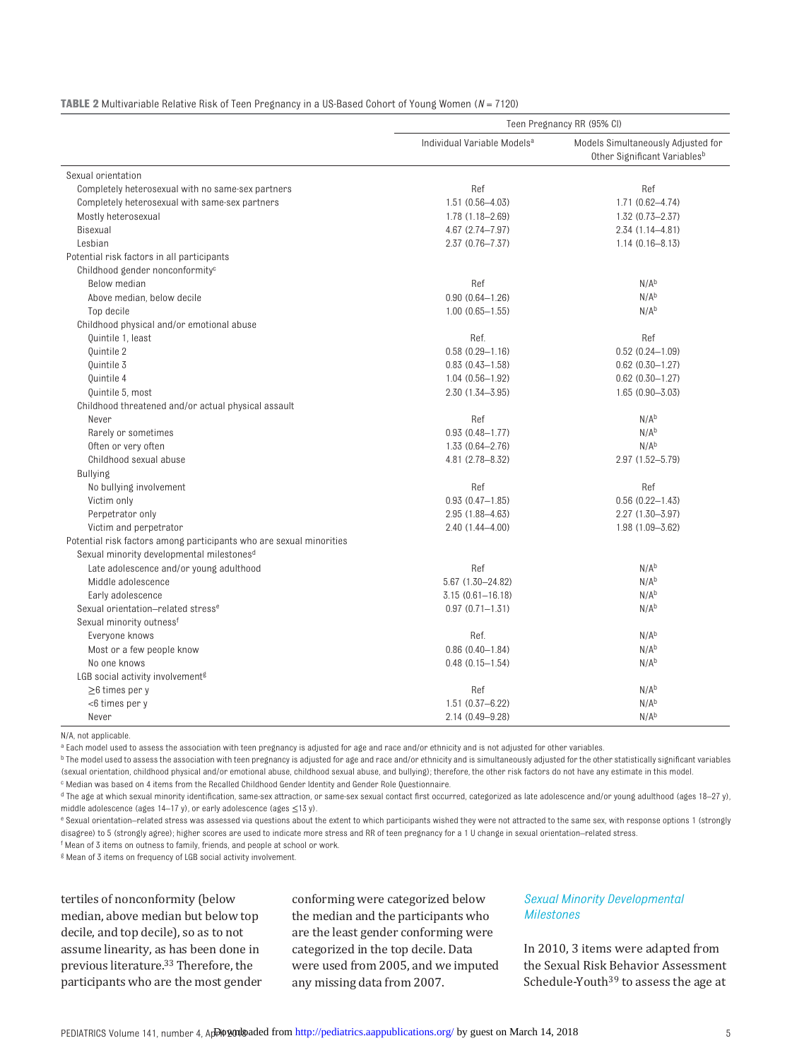#### **TABLE 2** Multivariable Relative Risk of Teen Pregnancy in a US-Based Cohort of Young Women (*N* = 7120)

|                                                                       | Teen Pregnancy RR (95% CI)                                                     |  |  |
|-----------------------------------------------------------------------|--------------------------------------------------------------------------------|--|--|
| Individual Variable Models <sup>a</sup>                               | Models Simultaneously Adjusted for<br>Other Significant Variables <sup>b</sup> |  |  |
| Sexual orientation                                                    |                                                                                |  |  |
| Ref<br>Completely heterosexual with no same-sex partners              | Ref                                                                            |  |  |
| 1.51 (0.56-4.03)<br>Completely heterosexual with same-sex partners    | $1.71(0.62 - 4.74)$                                                            |  |  |
| Mostly heterosexual<br>1.78 (1.18-2.69)                               | $1.32(0.73 - 2.37)$                                                            |  |  |
| Bisexual<br>4.67 (2.74-7.97)                                          | $2.34(1.14 - 4.81)$                                                            |  |  |
| Lesbian<br>$2.37(0.76 - 7.37)$                                        | $1.14(0.16 - 8.13)$                                                            |  |  |
| Potential risk factors in all participants                            |                                                                                |  |  |
| Childhood gender nonconformity <sup>c</sup>                           |                                                                                |  |  |
| Ref<br>Below median                                                   | N/A <sup>b</sup>                                                               |  |  |
| Above median, below decile<br>$0.90(0.64 - 1.26)$                     | N/A <sup>b</sup>                                                               |  |  |
| Top decile<br>$1.00(0.65 - 1.55)$                                     | N/A <sup>b</sup>                                                               |  |  |
| Childhood physical and/or emotional abuse                             |                                                                                |  |  |
| Ref.<br>Quintile 1, least                                             | Ref                                                                            |  |  |
| Ouintile 2<br>$0.58(0.29 - 1.16)$                                     | $0.52(0.24 - 1.09)$                                                            |  |  |
| Quintile 3<br>$0.83(0.43 - 1.58)$                                     | $0.62$ $(0.30 - 1.27)$                                                         |  |  |
| Quintile 4<br>$1.04(0.56 - 1.92)$                                     | $0.62$ $(0.30 - 1.27)$                                                         |  |  |
| 2.30 (1.34-3.95)<br>Quintile 5, most                                  | $1.65(0.90 - 3.03)$                                                            |  |  |
| Childhood threatened and/or actual physical assault                   |                                                                                |  |  |
| Never<br>Ref                                                          | N/A <sup>b</sup>                                                               |  |  |
| $0.93(0.48 - 1.77)$<br>Rarely or sometimes                            | N/A <sup>b</sup>                                                               |  |  |
| Often or very often<br>$1.33(0.64 - 2.76)$                            | N/A <sup>b</sup>                                                               |  |  |
| Childhood sexual abuse<br>4.81 (2.78-8.32)                            | 2.97 (1.52-5.79)                                                               |  |  |
| Bullying                                                              |                                                                                |  |  |
| Ref<br>No bullying involvement                                        | Ref                                                                            |  |  |
| $0.93(0.47 - 1.85)$<br>Victim only                                    | $0.56(0.22 - 1.43)$                                                            |  |  |
| Perpetrator only<br>2.95 (1.88-4.63)                                  | 2.27 (1.30-3.97)                                                               |  |  |
| Victim and perpetrator<br>$2.40(1.44 - 4.00)$                         | 1.98 (1.09-3.62)                                                               |  |  |
| Potential risk factors among participants who are sexual minorities   |                                                                                |  |  |
| Sexual minority developmental milestones <sup>d</sup>                 |                                                                                |  |  |
| Late adolescence and/or young adulthood<br>Ref                        | N/A <sup>b</sup>                                                               |  |  |
| 5.67 (1.30-24.82)<br>Middle adolescence                               | N/A <sup>b</sup>                                                               |  |  |
| $3.15(0.61 - 16.18)$<br>Early adolescence                             | N/A <sup>b</sup>                                                               |  |  |
| Sexual orientation-related stress <sup>e</sup><br>$0.97(0.71 - 1.31)$ | N/A <sup>b</sup>                                                               |  |  |
| Sexual minority outness <sup>f</sup>                                  |                                                                                |  |  |
| Everyone knows<br>Ref.                                                | N/A <sup>b</sup>                                                               |  |  |
| Most or a few people know<br>$0.86(0.40 - 1.84)$                      | N/A <sup>b</sup>                                                               |  |  |
| No one knows<br>$0.48(0.15 - 1.54)$                                   | N/A <sup>b</sup>                                                               |  |  |
| LGB social activity involvement <sup>g</sup>                          |                                                                                |  |  |
| Ref<br>$\geq$ 6 times per y                                           | N/A <sup>b</sup>                                                               |  |  |
| <6 times per y<br>$1.51(0.37 - 6.22)$                                 | N/A <sup>b</sup>                                                               |  |  |
| Never<br>2.14 (0.49-9.28)                                             | N/A <sup>b</sup>                                                               |  |  |

N/A, not applicable.

a Each model used to assess the association with teen pregnancy is adjusted for age and race and/or ethnicity and is not adjusted for other variables.

<sup>b</sup> The model used to assess the association with teen pregnancy is adjusted for age and race and/or ethnicity and is simultaneously adjusted for the other statistically significant variables (sexual orientation, childhood physical and/or emotional abuse, childhood sexual abuse, and bullying); therefore, the other risk factors do not have any estimate in this model.  $^{\rm c}$  Median was based on 4 items from the Recalled Childhood Gender Identity and Gender Role Questionnaire.

 $d$  The age at which sexual minority identification, same-sex attraction, or same-sex sexual contact first occurred, categorized as late adolescence and/or young adulthood (ages 18–27 y), middle adolescence (ages 14–17 y), or early adolescence (ages ≤13 y).

e Sexual orientation–related stress was assessed via questions about the extent to which participants wished they were not attracted to the same sex, with response options 1 (strongly disagree) to 5 (strongly agree); higher scores are used to indicate more stress and RR of teen pregnancy for a 1 U change in sexual orientation–related stress.

f Mean of 3 items on outness to family, friends, and people at school or work.

<sup>g</sup> Mean of 3 items on frequency of LGB social activity involvement.

tertiles of nonconformity (below median, above median but below top decile, and top decile), so as to not assume linearity, as has been done in previous literature. [33](#page-9-3) Therefore, the participants who are the most gender conforming were categorized below the median and the participants who are the least gender conforming were categorized in the top decile. Data were used from 2005, and we imputed any missing data from 2007.

#### *Sexual Minority Developmental Milestones*

In 2010, 3 items were adapted from the Sexual Risk Behavior Assessment Schedule-Youth<sup>[39](#page-9-9)</sup> to assess the age at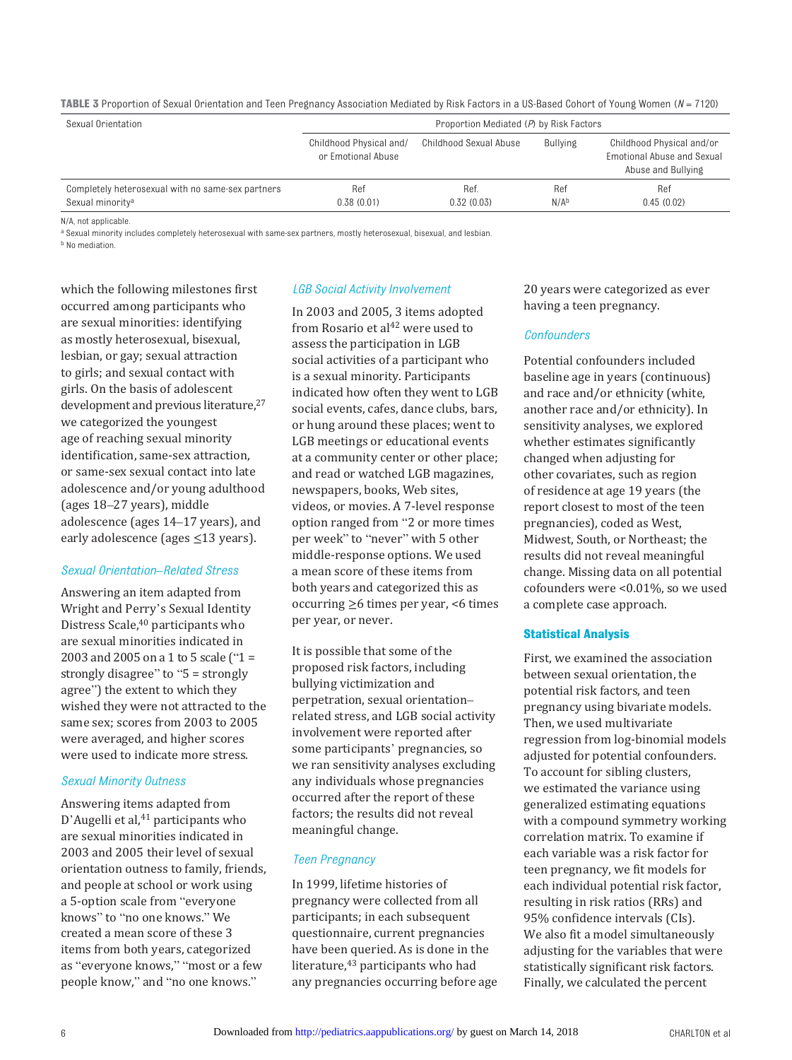**TABLE 3** Proportion of Sexual Orientation and Teen Pregnancy Association Mediated by Risk Factors in a US-Based Cohort of Young Women (*N* = 7120)

| Sexual Orientation                                                                | Proportion Mediated (P) by Risk Factors       |                        |                         |                                                                                      |
|-----------------------------------------------------------------------------------|-----------------------------------------------|------------------------|-------------------------|--------------------------------------------------------------------------------------|
|                                                                                   | Childhood Physical and/<br>or Emotional Abuse | Childhood Sexual Abuse | <b>Bullying</b>         | Childhood Physical and/or<br><b>Emotional Abuse and Sexual</b><br>Abuse and Bullying |
| Completely heterosexual with no same-sex partners<br>Sexual minority <sup>a</sup> | Ref<br>0.38(0.01)                             | Ref.<br>0.32(0.03)     | Ref<br>N/A <sup>b</sup> | Ref<br>0.45(0.02)                                                                    |

N/A, not applicable.

a Sexual minority includes completely heterosexual with same-sex partners, mostly heterosexual, bisexual, and lesbian.

**b** No mediation.

which the following milestones first occurred among participants who are sexual minorities: identifying as mostly heterosexual, bisexual, lesbian, or gay; sexual attraction to girls; and sexual contact with girls. On the basis of adolescent development and previous literature,<sup>27</sup> we categorized the youngest age of reaching sexual minority identification, same-sex attraction, or same-sex sexual contact into late adolescence and/or young adulthood (ages 18–27 years), middle adolescence (ages 14–17 years), and early adolescence (ages ≤13 years).

#### *Sexual Orientation*–*Related Stress*

Answering an item adapted from Wright and Perry's Sexual Identity Distress Scale,[40](#page-9-10) participants who are sexual minorities indicated in 2003 and 2005 on a 1 to 5 scale ("1 = strongly disagree" to "5 = strongly agree") the extent to which they wished they were not attracted to the same sex; scores from 2003 to 2005 were averaged, and higher scores were used to indicate more stress.

#### *Sexual Minority Outness*

Answering items adapted from D'Augelli et al,<sup>[41](#page-9-11)</sup> participants who are sexual minorities indicated in 2003 and 2005 their level of sexual orientation outness to family, friends, and people at school or work using a 5-option scale from "everyone knows" to "no one knows." We created a mean score of these 3 items from both years, categorized as "everyone knows," "most or a few people know," and "no one knows."

#### *LGB Social Activity Involvement*

In 2003 and 2005, 3 items adopted from Rosario et al [42](#page-9-12) were used to assess the participation in LGB social activities of a participant who is a sexual minority. Participants indicated how often they went to LGB social events, cafes, dance clubs, bars, or hung around these places; went to LGB meetings or educational events at a community center or other place; and read or watched LGB magazines, newspapers, books, Web sites, videos, or movies. A 7-level response option ranged from "2 or more times per week" to "never" with 5 other middle-response options. We used a mean score of these items from both years and categorized this as occurring ≥6 times per year, <6 times per year, or never.

It is possible that some of the proposed risk factors, including bullying victimization and perpetration, sexual orientation– related stress, and LGB social activity involvement were reported after some participants' pregnancies, so we ran sensitivity analyses excluding any individuals whose pregnancies occurred after the report of these factors; the results did not reveal meaningful change.

#### *Teen Pregnancy*

In 1999, lifetime histories of pregnancy were collected from all participants; in each subsequent questionnaire, current pregnancies have been queried. As is done in the literature, <sup>43</sup> participants who had any pregnancies occurring before age 20 years were categorized as ever having a teen pregnancy.

#### *Confounders*

Potential confounders included baseline age in years (continuous) and race and/or ethnicity (white, another race and/or ethnicity). In sensitivity analyses, we explored whether estimates significantly changed when adjusting for other covariates, such as region of residence at age 19 years (the report closest to most of the teen pregnancies), coded as West, Midwest, South, or Northeast; the results did not reveal meaningful change. Missing data on all potential cofounders were <0.01%, so we used a complete case approach.

#### **Statistical Analysis**

First, we examined the association between sexual orientation, the potential risk factors, and teen pregnancy using bivariate models. Then, we used multivariate regression from log-binomial models adjusted for potential confounders. To account for sibling clusters, we estimated the variance using generalized estimating equations with a compound symmetry working correlation matrix. To examine if each variable was a risk factor for teen pregnancy, we fit models for each individual potential risk factor, resulting in risk ratios (RRs) and 95% confidence intervals (CIs). We also fit a model simultaneously adjusting for the variables that were statistically significant risk factors. Finally, we calculated the percent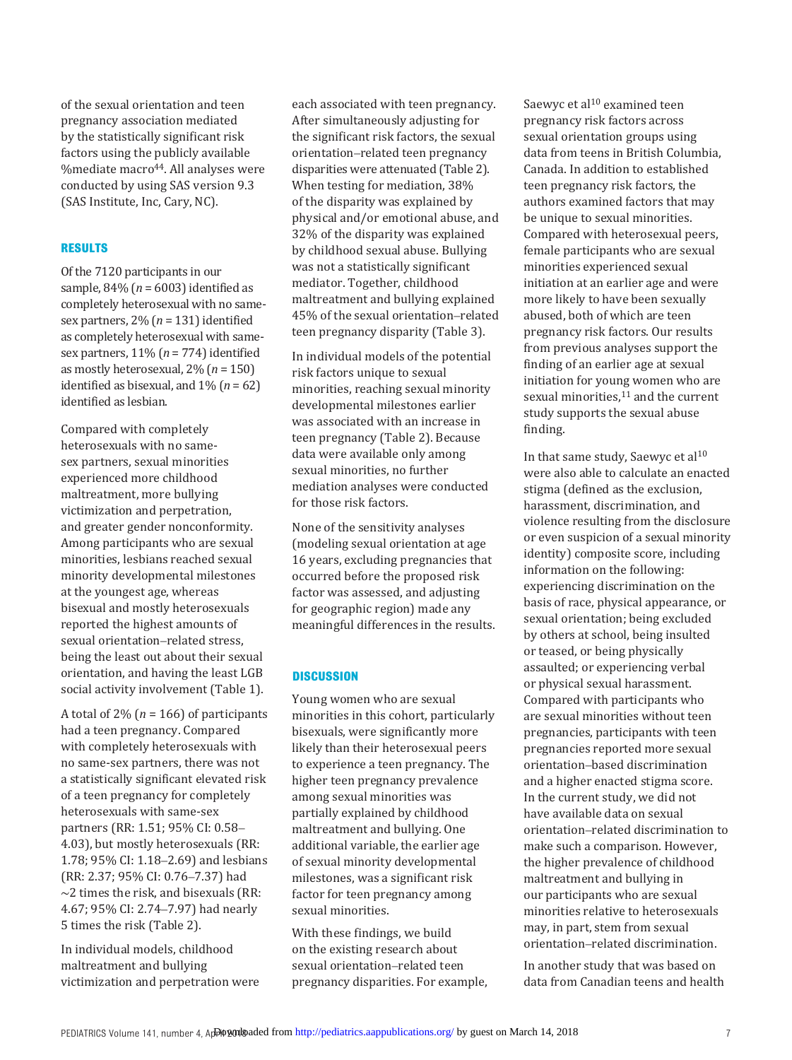of the sexual orientation and teen pregnancy association mediated by the statistically significant risk factors using the publicly available %mediate macr[o](#page-9-14)<sup>44</sup>. All analyses were conducted by using SAS version 9.3 (SAS Institute, Inc, Cary, NC).

#### **RESULTS**

Of the 7120 participants in our sample, 84% (*n* = 6003) identified as completely heterosexual with no samesex partners, 2% (*n* = 131) identified as completely heterosexual with samesex partners, 11% (*n* = 774) identified as mostly heterosexual, 2% (*n* = 150) identified as bisexual, and 1% (*n* = 62) identified as lesbian.

Compared with completely heterosexuals with no samesex partners, sexual minorities experienced more childhood maltreatment, more bullying victimization and perpetration, and greater gender nonconformity. Among participants who are sexual minorities, lesbians reached sexual minority developmental milestones at the youngest age, whereas bisexual and mostly heterosexuals reported the highest amounts of sexual orientation–related stress, being the least out about their sexual orientation, and having the least LGB social activity involvement (Table 1).

A total of 2% (*n* = 166) of participants had a teen pregnancy. Compared with completely heterosexuals with no same-sex partners, there was not a statistically significant elevated risk of a teen pregnancy for completely heterosexuals with same-sex partners (RR: 1.51; 95% CI: 0.58– 4.03), but mostly heterosexuals (RR: 1.78; 95% CI: 1.18–2.69) and lesbians (RR: 2.37; 95% CI: 0.76–7.37) had ∼2 times the risk, and bisexuals (RR: 4.67; 95% CI: 2.74–7.97) had nearly 5 times the risk (Table 2).

In individual models, childhood maltreatment and bullying victimization and perpetration were each associated with teen pregnancy. After simultaneously adjusting for the significant risk factors, the sexual orientation–related teen pregnancy disparities were attenuated (Table 2). When testing for mediation, 38% of the disparity was explained by physical and/or emotional abuse, and 32% of the disparity was explained by childhood sexual abuse. Bullying was not a statistically significant mediator. Together, childhood maltreatment and bullying explained 45% of the sexual orientation–related teen pregnancy disparity (Table 3).

In individual models of the potential risk factors unique to sexual minorities, reaching sexual minority developmental milestones earlier was associated with an increase in teen pregnancy (Table 2). Because data were available only among sexual minorities, no further mediation analyses were conducted for those risk factors.

None of the sensitivity analyses (modeling sexual orientation at age 16 years, excluding pregnancies that occurred before the proposed risk factor was assessed, and adjusting for geographic region) made any meaningful differences in the results.

#### **DISCUSSION**

Young women who are sexual minorities in this cohort, particularly bisexuals, were significantly more likely than their heterosexual peers to experience a teen pregnancy. The higher teen pregnancy prevalence among sexual minorities was partially explained by childhood maltreatment and bullying. One additional variable, the earlier age of sexual minority developmental milestones, was a significant risk factor for teen pregnancy among sexual minorities.

With these findings, we build on the existing research about sexual orientation–related teen pregnancy disparities. For example,

Saewyc et al [10](#page-8-1) examined teen pregnancy risk factors across sexual orientation groups using data from teens in British Columbia, Canada. In addition to established teen pregnancy risk factors, the authors examined factors that may be unique to sexual minorities. Compared with heterosexual peers, female participants who are sexual minorities experienced sexual initiation at an earlier age and were more likely to have been sexually abused, both of which are teen pregnancy risk factors. Our results from previous analyses support the finding of an earlier age at sexual initiation for young women who are sexual minorities, $11$  and the current study supports the sexual abuse finding.

In that same study, Saewyc et al $^{10}$  $^{10}$  $^{10}$ were also able to calculate an enacted stigma (defined as the exclusion, harassment, discrimination, and violence resulting from the disclosure or even suspicion of a sexual minority identity) composite score, including information on the following: experiencing discrimination on the basis of race, physical appearance, or sexual orientation; being excluded by others at school, being insulted or teased, or being physically assaulted; or experiencing verbal or physical sexual harassment. Compared with participants who are sexual minorities without teen pregnancies, participants with teen pregnancies reported more sexual orientation–based discrimination and a higher enacted stigma score. In the current study, we did not have available data on sexual orientation–related discrimination to make such a comparison. However, the higher prevalence of childhood maltreatment and bullying in our participants who are sexual minorities relative to heterosexuals may, in part, stem from sexual orientation–related discrimination.

In another study that was based on data from Canadian teens and health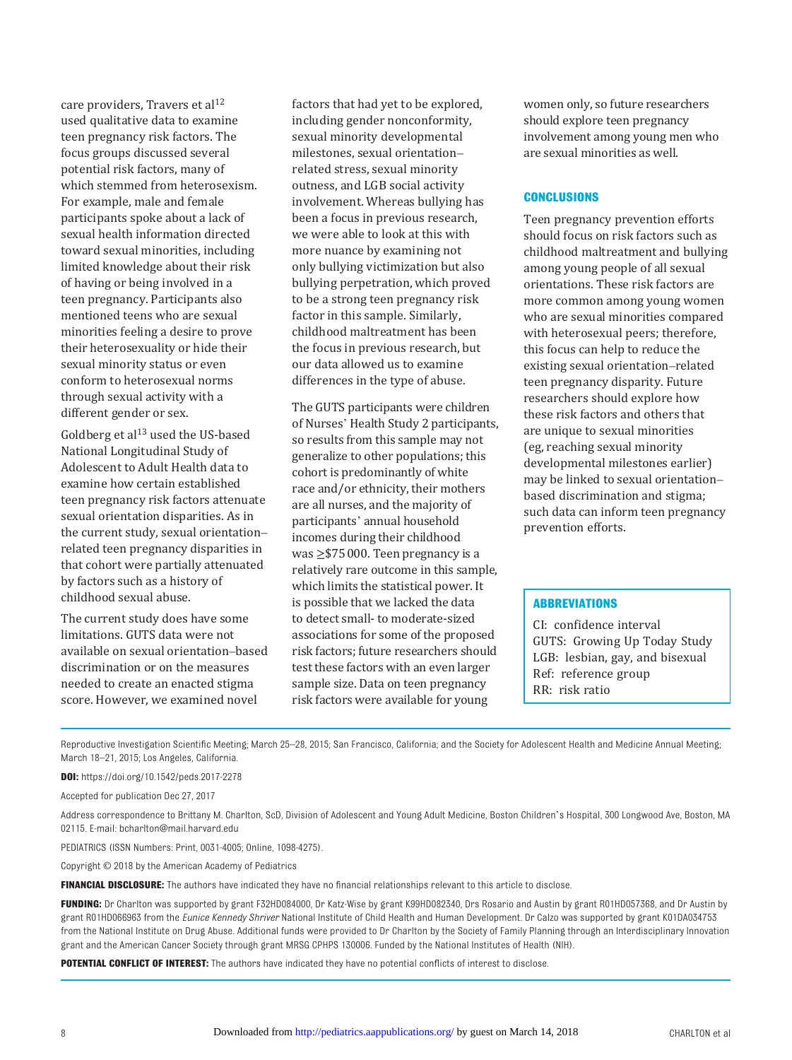care providers, Travers et al [12](#page-8-3) used qualitative data to examine teen pregnancy risk factors. The focus groups discussed several potential risk factors, many of which stemmed from heterosexism. For example, male and female participants spoke about a lack of sexual health information directed toward sexual minorities, including limited knowledge about their risk of having or being involved in a teen pregnancy. Participants also mentioned teens who are sexual minorities feeling a desire to prove their heterosexuality or hide their sexual minority status or even conform to heterosexual norms through sexual activity with a different gender or sex.

Goldberg et al [13](#page-8-4) used the US-based National Longitudinal Study of Adolescent to Adult Health data to examine how certain established teen pregnancy risk factors attenuate sexual orientation disparities. As in the current study, sexual orientation– related teen pregnancy disparities in that cohort were partially attenuated by factors such as a history of childhood sexual abuse.

The current study does have some limitations. GUTS data were not available on sexual orientation–based discrimination or on the measures needed to create an enacted stigma score. However, we examined novel

factors that had yet to be explored, including gender nonconformity, sexual minority developmental milestones, sexual orientation– related stress, sexual minority outness, and LGB social activity involvement. Whereas bullying has been a focus in previous research, we were able to look at this with more nuance by examining not only bullying victimization but also bullying perpetration, which proved to be a strong teen pregnancy risk factor in this sample. Similarly, childhood maltreatment has been the focus in previous research, but our data allowed us to examine differences in the type of abuse.

The GUTS participants were children of Nurses' Health Study 2 participants, so results from this sample may not generalize to other populations; this cohort is predominantly of white race and/or ethnicity, their mothers are all nurses, and the majority of participants' annual household incomes during their childhood was ≥\$75000. Teen pregnancy is a relatively rare outcome in this sample, which limits the statistical power. It is possible that we lacked the data to detect small- to moderate-sized associations for some of the proposed risk factors; future researchers should test these factors with an even larger sample size. Data on teen pregnancy risk factors were available for young

women only, so future researchers should explore teen pregnancy involvement among young men who are sexual minorities as well.

#### **CONCLUSIONS**

Teen pregnancy prevention efforts should focus on risk factors such as childhood maltreatment and bullying among young people of all sexual orientations. These risk factors are more common among young women who are sexual minorities compared with heterosexual peers; therefore, this focus can help to reduce the existing sexual orientation–related teen pregnancy disparity. Future researchers should explore how these risk factors and others that are unique to sexual minorities (eg, reaching sexual minority developmental milestones earlier) may be linked to sexual orientation– based discrimination and stigma; such data can inform teen pregnancy prevention efforts.

#### **ABBREVIATIONS**

CI: confidence interval GUTS: Growing Up Today Study LGB: lesbian, gay, and bisexual Ref: reference group RR: risk ratio

Reproductive Investigation Scientific Meeting; March 25–28, 2015; San Francisco, California; and the Society for Adolescent Health and Medicine Annual Meeting; March 18–21, 2015; Los Angeles, California.

**DOI:**<https://doi.org/10.1542/peds.2017-2278>

Accepted for publication Dec 27, 2017

Address correspondence to Brittany M. Charlton, ScD, Division of Adolescent and Young Adult Medicine, Boston Children's Hospital, 300 Longwood Ave, Boston, MA 02115. E-mail: [bcharlton@mail.harvard.edu](mailto:)

PEDIATRICS (ISSN Numbers: Print, 0031-4005; Online, 1098-4275).

Copyright © 2018 by the American Academy of Pediatrics

**FINANCIAL DISCLOSURE:** The authors have indicated they have no financial relationships relevant to this article to disclose.

**FUNDING:** Dr Charlton was supported by grant F32HD084000, Dr Katz-Wise by grant K99HD082340, Drs Rosario and Austin by grant R01HD057368, and Dr Austin by grant R01HD066963 from the *Eunice Kennedy Shriver* National Institute of Child Health and Human Development. Dr Calzo was supported by grant K01DA034753 from the National Institute on Drug Abuse. Additional funds were provided to Dr Charlton by the Society of Family Planning through an Interdisciplinary Innovation grant and the American Cancer Society through grant MRSG CPHPS 130006. Funded by the National Institutes of Health (NIH).

**POTENTIAL CONFLICT OF INTEREST:** The authors have indicated they have no potential conflicts of interest to disclose.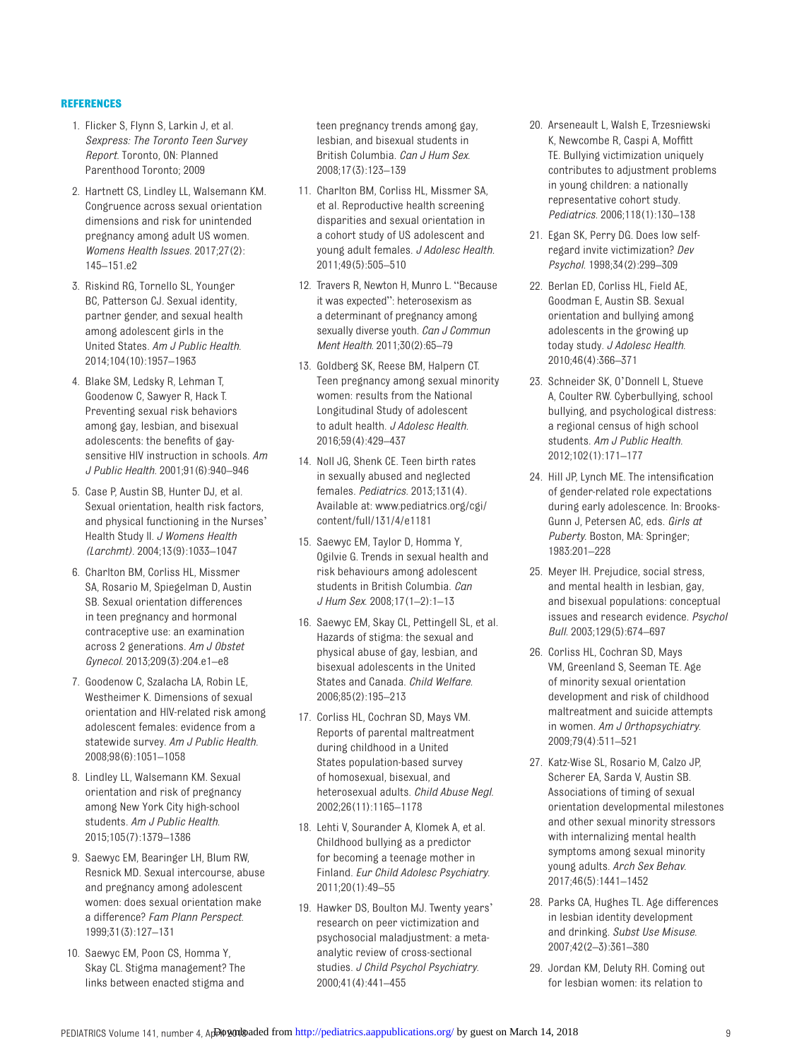#### **REFERENCES**

- <span id="page-8-0"></span>1. Flicker S, Flynn S, Larkin J, et al. *Sexpress: The Toronto Teen Survey Report*. Toronto, ON: Planned Parenthood Toronto; 2009
- 2. Hartnett CS, Lindley LL, Walsemann KM. Congruence across sexual orientation dimensions and risk for unintended pregnancy among adult US women. *Womens Health Issues*. 2017;27(2): 145–151.e2
- 3. Riskind RG, Tornello SL, Younger BC, Patterson CJ. Sexual identity, partner gender, and sexual health among adolescent girls in the United States. *Am J Public Health*. 2014;104(10):1957–1963
- 4. Blake SM, Ledsky R, Lehman T, Goodenow C, Sawyer R, Hack T. Preventing sexual risk behaviors among gay, lesbian, and bisexual adolescents: the benefits of gaysensitive HIV instruction in schools. *Am J Public Health*. 2001;91(6):940–946
- 5. Case P, Austin SB, Hunter DJ, et al. Sexual orientation, health risk factors, and physical functioning in the Nurses' Health Study II. *J Womens Health (Larchmt)*. 2004;13(9):1033–1047
- 6. Charlton BM, Corliss HL, Missmer SA, Rosario M, Spiegelman D, Austin SB. Sexual orientation differences in teen pregnancy and hormonal contraceptive use: an examination across 2 generations. *Am J Obstet Gynecol*. 2013;209(3):204.e1–e8
- 7. Goodenow C, Szalacha LA, Robin LE, Westheimer K. Dimensions of sexual orientation and HIV-related risk among adolescent females: evidence from a statewide survey. *Am J Public Health*. 2008;98(6):1051–1058
- 8. Lindley LL, Walsemann KM. Sexual orientation and risk of pregnancy among New York City high-school students. *Am J Public Health*. 2015;105(7):1379–1386
- 9. Saewyc EM, Bearinger LH, Blum RW, Resnick MD. Sexual intercourse, abuse and pregnancy among adolescent women: does sexual orientation make a difference? *Fam Plann Perspect*. 1999;31(3):127–131
- <span id="page-8-1"></span>10. Saewyc EM, Poon CS, Homma Y, Skay CL. Stigma management? The links between enacted stigma and

teen pregnancy trends among gay, lesbian, and bisexual students in British Columbia. *Can J Hum Sex*. 2008;17(3):123–139

- <span id="page-8-2"></span>11. Charlton BM, Corliss HL, Missmer SA, et al. Reproductive health screening disparities and sexual orientation in a cohort study of US adolescent and young adult females. *J Adolesc Health*. 2011;49(5):505–510
- <span id="page-8-3"></span>12. Travers R, Newton H, Munro L. "Because it was expected": heterosexism as a determinant of pregnancy among sexually diverse youth. *Can J Commun Ment Health*. 2011;30(2):65–79
- <span id="page-8-4"></span>13. Goldberg SK, Reese BM, Halpern CT. Teen pregnancy among sexual minority women: results from the National Longitudinal Study of adolescent to adult health. *J Adolesc Health*. 2016;59(4):429–437
- <span id="page-8-5"></span>14. Noll JG, Shenk CE. Teen birth rates in sexually abused and neglected females. *Pediatrics*. 2013;131(4). Available at: [www.pediatrics.org/cgi/](www.pediatrics.org/cgi/content/full/131/4/e1181) [content/full/131/4/e1181](www.pediatrics.org/cgi/content/full/131/4/e1181)
- <span id="page-8-6"></span>15. Saewyc EM, Taylor D, Homma Y, Ogilvie G. Trends in sexual health and risk behaviours among adolescent students in British Columbia. *Can J Hum Sex*. 2008;17(1–2):1–13
- <span id="page-8-7"></span>16. Saewyc EM, Skay CL, Pettingell SL, et al. Hazards of stigma: the sexual and physical abuse of gay, lesbian, and bisexual adolescents in the United States and Canada. *Child Welfare*. 2006;85(2):195–213
- <span id="page-8-8"></span>17. Corliss HL, Cochran SD, Mays VM. Reports of parental maltreatment during childhood in a United States population-based survey of homosexual, bisexual, and heterosexual adults. *Child Abuse Negl*. 2002;26(11):1165–1178
- <span id="page-8-9"></span>18. Lehti V, Sourander A, Klomek A, et al. Childhood bullying as a predictor for becoming a teenage mother in Finland. *Eur Child Adolesc Psychiatry*. 2011;20(1):49–55
- <span id="page-8-10"></span>19. Hawker DS, Boulton MJ. Twenty years' research on peer victimization and psychosocial maladjustment: a metaanalytic review of cross-sectional studies. *J Child Psychol Psychiatry*. 2000;41(4):441–455
- <span id="page-8-11"></span>20. Arseneault L, Walsh E, Trzesniewski K, Newcombe R, Caspi A, Moffitt TE. Bullying victimization uniquely contributes to adjustment problems in young children: a nationally representative cohort study. *Pediatrics*. 2006;118(1):130–138
- <span id="page-8-12"></span>21. Egan SK, Perry DG. Does low selfregard invite victimization? *Dev Psychol*. 1998;34(2):299–309
- <span id="page-8-13"></span>22. Berlan ED, Corliss HL, Field AE, Goodman E, Austin SB. Sexual orientation and bullying among adolescents in the growing up today study. *J Adolesc Health*. 2010;46(4):366–371
- <span id="page-8-14"></span>23. Schneider SK, O'Donnell L, Stueve A, Coulter RW. Cyberbullying, school bullying, and psychological distress: a regional census of high school students. *Am J Public Health*. 2012;102(1):171–177
- <span id="page-8-15"></span>24. Hill JP, Lynch ME. The intensification of gender-related role expectations during early adolescence. In: Brooks-Gunn J, Petersen AC, eds. *Girls at Puberty*. Boston, MA: Springer; 1983:201–228
- <span id="page-8-16"></span>25. Meyer IH. Prejudice, social stress, and mental health in lesbian, gay, and bisexual populations: conceptual issues and research evidence. *Psychol Bull*. 2003;129(5):674–697
- <span id="page-8-17"></span>26. Corliss HL, Cochran SD, Mays VM, Greenland S, Seeman TE. Age of minority sexual orientation development and risk of childhood maltreatment and suicide attempts in women. *Am J Orthopsychiatry*. 2009;79(4):511–521
- <span id="page-8-20"></span>27. Katz-Wise SL, Rosario M, Calzo JP, Scherer EA, Sarda V, Austin SB. Associations of timing of sexual orientation developmental milestones and other sexual minority stressors with internalizing mental health symptoms among sexual minority young adults. *Arch Sex Behav*. 2017;46(5):1441–1452
- <span id="page-8-18"></span>28. Parks CA, Hughes TL. Age differences in lesbian identity development and drinking. *Subst Use Misuse*. 2007;42(2–3):361–380
- <span id="page-8-19"></span>29. Jordan KM, Deluty RH. Coming out for lesbian women: its relation to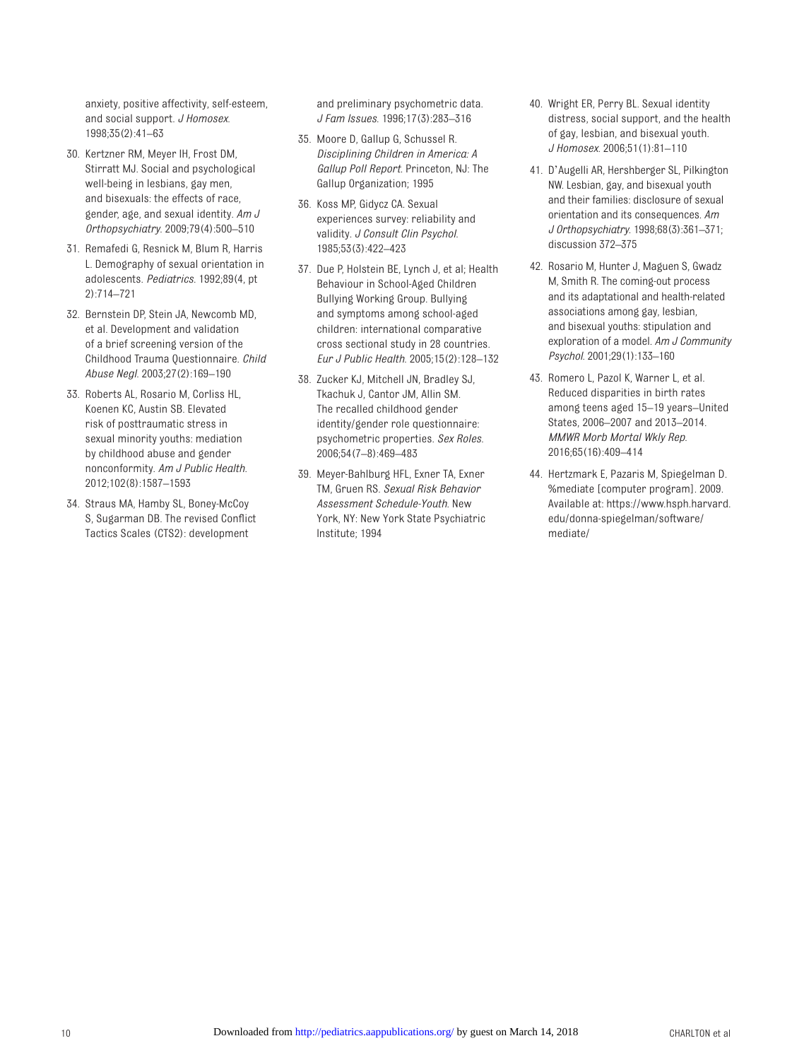anxiety, positive affectivity, self-esteem, and social support. *J Homosex*. 1998;35(2):41–63

- <span id="page-9-0"></span>30. Kertzner RM, Meyer IH, Frost DM, Stirratt MJ. Social and psychological well-being in lesbians, gay men, and bisexuals: the effects of race, gender, age, and sexual identity. *Am J Orthopsychiatry*. 2009;79(4):500–510
- <span id="page-9-1"></span>31. Remafedi G, Resnick M, Blum R, Harris L. Demography of sexual orientation in adolescents. *Pediatrics*. 1992;89(4, pt 2):714–721
- <span id="page-9-2"></span>32. Bernstein DP, Stein JA, Newcomb MD, et al. Development and validation of a brief screening version of the Childhood Trauma Questionnaire. *Child Abuse Negl*. 2003;27(2):169–190
- <span id="page-9-3"></span>33. Roberts AL, Rosario M, Corliss HL, Koenen KC, Austin SB. Elevated risk of posttraumatic stress in sexual minority youths: mediation by childhood abuse and gender nonconformity. *Am J Public Health*. 2012;102(8):1587–1593
- <span id="page-9-4"></span>34. Straus MA, Hamby SL, Boney-McCoy S, Sugarman DB. The revised Conflict Tactics Scales (CTS2): development

and preliminary psychometric data. *J Fam Issues*. 1996;17(3):283–316

- <span id="page-9-5"></span>35. Moore D, Gallup G, Schussel R. *Disciplining Children in America: A Gallup Poll Report*. Princeton, NJ: The Gallup Organization; 1995
- <span id="page-9-6"></span>36. Koss MP, Gidycz CA. Sexual experiences survey: reliability and validity. *J Consult Clin Psychol*. 1985;53(3):422–423
- <span id="page-9-7"></span>37. Due P, Holstein BE, Lynch J, et al; Health Behaviour in School-Aged Children Bullying Working Group. Bullying and symptoms among school-aged children: international comparative cross sectional study in 28 countries. *Eur J Public Health*. 2005;15(2):128–132
- <span id="page-9-8"></span>38. Zucker KJ, Mitchell JN, Bradley SJ, Tkachuk J, Cantor JM, Allin SM. The recalled childhood gender identity/gender role questionnaire: psychometric properties. *Sex Roles*. 2006;54(7–8):469–483
- <span id="page-9-9"></span>39. Meyer-Bahlburg HFL, Exner TA, Exner TM, Gruen RS. *Sexual Risk Behavior Assessment Schedule-Youth*. New York, NY: New York State Psychiatric Institute; 1994
- <span id="page-9-10"></span>40. Wright ER, Perry BL. Sexual identity distress, social support, and the health of gay, lesbian, and bisexual youth. *J Homosex*. 2006;51(1):81–110
- <span id="page-9-11"></span>41. D'Augelli AR, Hershberger SL, Pilkington NW. Lesbian, gay, and bisexual youth and their families: disclosure of sexual orientation and its consequences. *Am J Orthopsychiatry*. 1998;68(3):361–371; discussion 372–375
- <span id="page-9-12"></span>42. Rosario M, Hunter J, Maguen S, Gwadz M, Smith R. The coming-out process and its adaptational and health-related associations among gay, lesbian, and bisexual youths: stipulation and exploration of a model. *Am J Community Psychol*. 2001;29(1):133–160
- <span id="page-9-13"></span>43. Romero L, Pazol K, Warner L, et al. Reduced disparities in birth rates among teens aged 15–19 years–United States, 2006–2007 and 2013–2014. *MMWR Morb Mortal Wkly Rep*. 2016;65(16):409–414
- <span id="page-9-14"></span>44. Hertzmark E, Pazaris M, Spiegelman D. %mediate [computer program]. 2009. Available at: [https://www.hsph.harvard.](https://www.hsph.harvard.edu/donna-spiegelman/software/mediate/) [edu/donna-spiegelman/software/](https://www.hsph.harvard.edu/donna-spiegelman/software/mediate/) [mediate/](https://www.hsph.harvard.edu/donna-spiegelman/software/mediate/)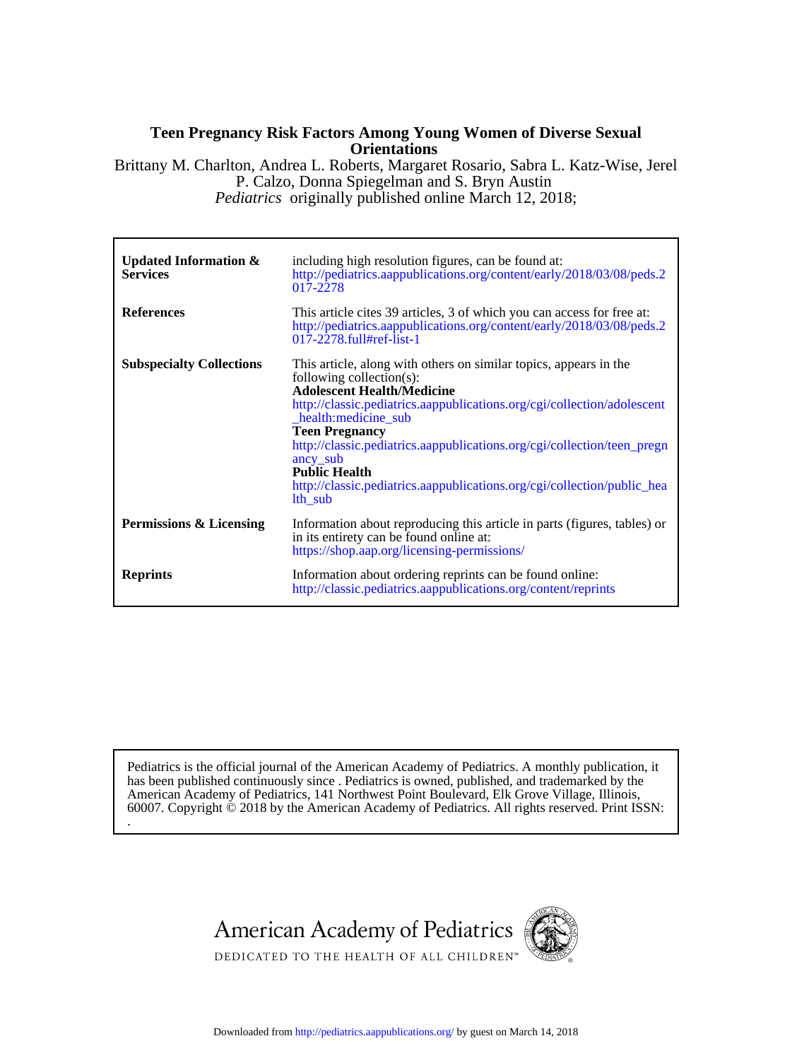### **Orientations Teen Pregnancy Risk Factors Among Young Women of Diverse Sexual**

*Pediatrics* originally published online March 12, 2018; P. Calzo, Donna Spiegelman and S. Bryn Austin Brittany M. Charlton, Andrea L. Roberts, Margaret Rosario, Sabra L. Katz-Wise, Jerel

| <b>Updated Information &amp;</b><br><b>Services</b> | including high resolution figures, can be found at:<br>http://pediatrics.aappublications.org/content/early/2018/03/08/peds.2<br>017-2278                                                                                                                                                                                                                                                                                                                            |
|-----------------------------------------------------|---------------------------------------------------------------------------------------------------------------------------------------------------------------------------------------------------------------------------------------------------------------------------------------------------------------------------------------------------------------------------------------------------------------------------------------------------------------------|
| <b>References</b>                                   | This article cites 39 articles, 3 of which you can access for free at:<br>http://pediatrics.aappublications.org/content/early/2018/03/08/peds.2<br>$017 - 2278$ .full#ref-list-1                                                                                                                                                                                                                                                                                    |
| <b>Subspecialty Collections</b>                     | This article, along with others on similar topics, appears in the<br>following collection(s):<br><b>Adolescent Health/Medicine</b><br>http://classic.pediatrics.aappublications.org/cgi/collection/adolescent<br>health: medicine sub<br><b>Teen Pregnancy</b><br>http://classic.pediatrics.aappublications.org/cgi/collection/teen_pregn<br>ancy_sub<br><b>Public Health</b><br>http://classic.pediatrics.aappublications.org/cgi/collection/public_hea<br>lth_sub |
| Permissions & Licensing                             | Information about reproducing this article in parts (figures, tables) or<br>in its entirety can be found online at:<br>https://shop.aap.org/licensing-permissions/                                                                                                                                                                                                                                                                                                  |
| <b>Reprints</b>                                     | Information about ordering reprints can be found online:<br>http://classic.pediatrics.aappublications.org/content/reprints                                                                                                                                                                                                                                                                                                                                          |

. 60007. Copyright © 2018 by the American Academy of Pediatrics. All rights reserved. Print ISSN: American Academy of Pediatrics, 141 Northwest Point Boulevard, Elk Grove Village, Illinois, has been published continuously since . Pediatrics is owned, published, and trademarked by the Pediatrics is the official journal of the American Academy of Pediatrics. A monthly publication, it



Downloaded from<http://pediatrics.aappublications.org/>by guest on March 14, 2018